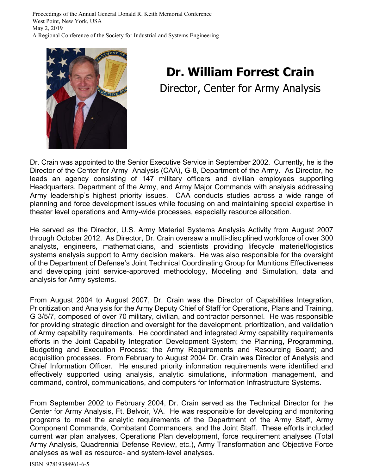Proceedings of the Annual General Donald R. Keith Memorial Conference West Point, New York, USA May 2, 2019 A Regional Conference of the Society for Industrial and Systems Engineering



# **Dr. William Forrest Crain**  Director, Center for Army Analysis

Dr. Crain was appointed to the Senior Executive Service in September 2002. Currently, he is the Director of the Center for Army Analysis (CAA), G-8, Department of the Army. As Director, he leads an agency consisting of 147 military officers and civilian employees supporting Headquarters, Department of the Army, and Army Major Commands with analysis addressing Army leadership's highest priority issues. CAA conducts studies across a wide range of planning and force development issues while focusing on and maintaining special expertise in theater level operations and Army-wide processes, especially resource allocation.

He served as the Director, U.S. Army Materiel Systems Analysis Activity from August 2007 through October 2012. As Director, Dr. Crain oversaw a multi-disciplined workforce of over 300 analysts, engineers, mathematicians, and scientists providing lifecycle materiel/logistics systems analysis support to Army decision makers. He was also responsible for the oversight of the Department of Defense's Joint Technical Coordinating Group for Munitions Effectiveness and developing joint service-approved methodology, Modeling and Simulation, data and analysis for Army systems.

From August 2004 to August 2007, Dr. Crain was the Director of Capabilities Integration, Prioritization and Analysis for the Army Deputy Chief of Staff for Operations, Plans and Training, G 3/5/7, composed of over 70 military, civilian, and contractor personnel. He was responsible for providing strategic direction and oversight for the development, prioritization, and validation of Army capability requirements. He coordinated and integrated Army capability requirements efforts in the Joint Capability Integration Development System; the Planning, Programming, Budgeting and Execution Process; the Army Requirements and Resourcing Board; and acquisition processes. From February to August 2004 Dr. Crain was Director of Analysis and Chief Information Officer. He ensured priority information requirements were identified and effectively supported using analysis, analytic simulations, information management, and command, control, communications, and computers for Information Infrastructure Systems.

From September 2002 to February 2004, Dr. Crain served as the Technical Director for the Center for Army Analysis, Ft. Belvoir, VA. He was responsible for developing and monitoring programs to meet the analytic requirements of the Department of the Army Staff, Army Component Commands, Combatant Commanders, and the Joint Staff. These efforts included current war plan analyses, Operations Plan development, force requirement analyses (Total Army Analysis, Quadrennial Defense Review, etc.), Army Transformation and Objective Force analyses as well as resource- and system-level analyses.